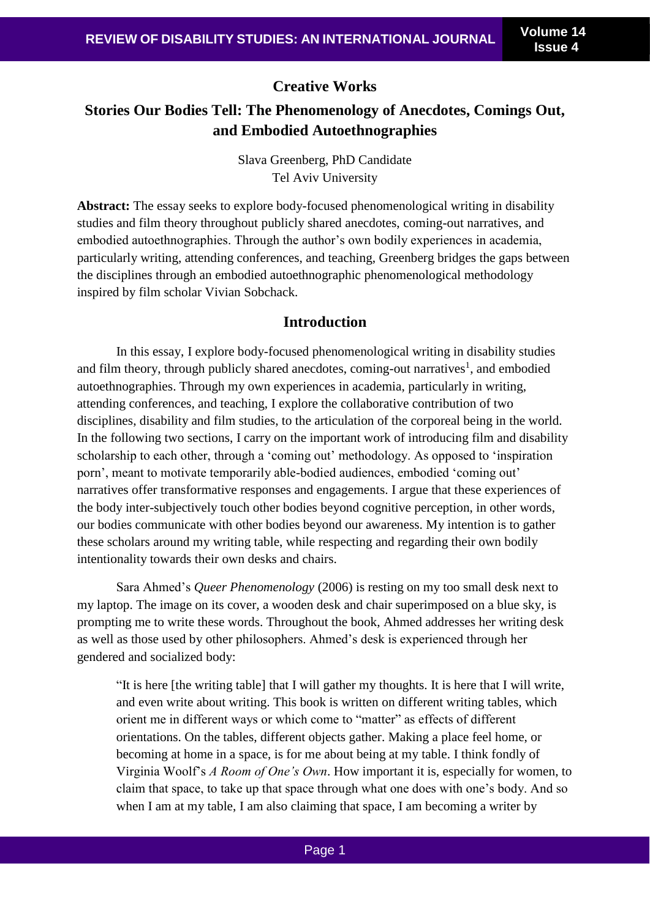#### **Creative Works**

## **Stories Our Bodies Tell: The Phenomenology of Anecdotes, Comings Out, and Embodied Autoethnographies**

Slava Greenberg, PhD Candidate Tel Aviv University

**Abstract:** The essay seeks to explore body-focused phenomenological writing in disability studies and film theory throughout publicly shared anecdotes, coming-out narratives, and embodied autoethnographies. Through the author's own bodily experiences in academia, particularly writing, attending conferences, and teaching, Greenberg bridges the gaps between the disciplines through an embodied autoethnographic phenomenological methodology inspired by film scholar Vivian Sobchack.

#### **Introduction**

In this essay, I explore body-focused phenomenological writing in disability studies and film theory, through publicly shared anecdotes, coming-out narratives<sup>1</sup>, and embodied autoethnographies. Through my own experiences in academia, particularly in writing, attending conferences, and teaching, I explore the collaborative contribution of two disciplines, disability and film studies, to the articulation of the corporeal being in the world. In the following two sections, I carry on the important work of introducing film and disability scholarship to each other, through a 'coming out' methodology. As opposed to 'inspiration porn', meant to motivate temporarily able-bodied audiences, embodied 'coming out' narratives offer transformative responses and engagements. I argue that these experiences of the body inter-subjectively touch other bodies beyond cognitive perception, in other words, our bodies communicate with other bodies beyond our awareness. My intention is to gather these scholars around my writing table, while respecting and regarding their own bodily intentionality towards their own desks and chairs.

Sara Ahmed's *Queer Phenomenology* (2006) is resting on my too small desk next to my laptop. The image on its cover, a wooden desk and chair superimposed on a blue sky, is prompting me to write these words. Throughout the book, Ahmed addresses her writing desk as well as those used by other philosophers. Ahmed's desk is experienced through her gendered and socialized body:

"It is here [the writing table] that I will gather my thoughts. It is here that I will write, and even write about writing. This book is written on different writing tables, which orient me in different ways or which come to "matter" as effects of different orientations. On the tables, different objects gather. Making a place feel home, or becoming at home in a space, is for me about being at my table. I think fondly of Virginia Woolf's *A Room of One's Own*. How important it is, especially for women, to claim that space, to take up that space through what one does with one's body. And so when I am at my table. I am also claiming that space. I am becoming a writer by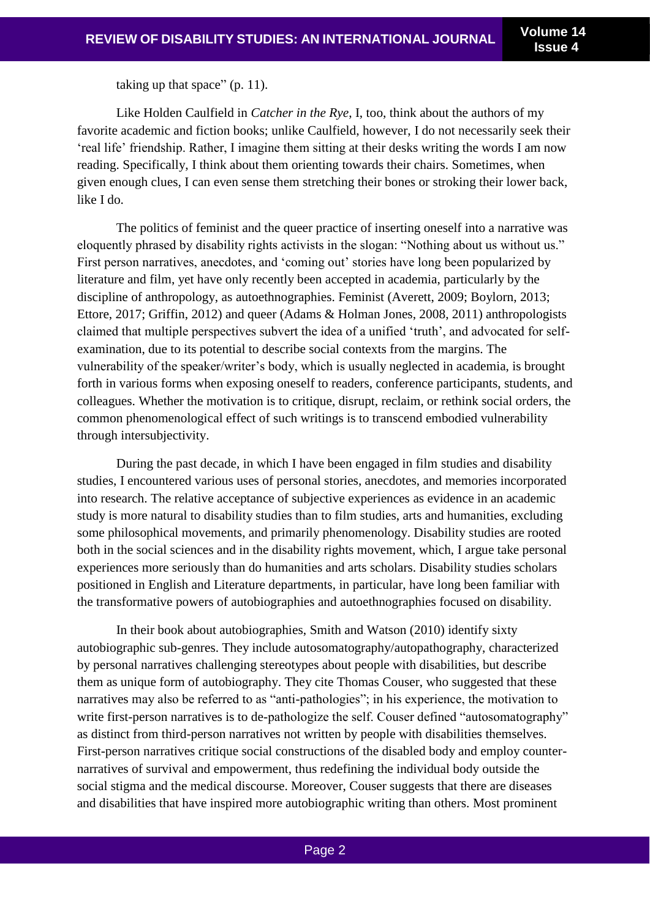taking up that space" (p. 11).

Like Holden Caulfield in *Catcher in the Rye*, I, too, think about the authors of my favorite academic and fiction books; unlike Caulfield, however, I do not necessarily seek their 'real life' friendship. Rather, I imagine them sitting at their desks writing the words I am now reading. Specifically, I think about them orienting towards their chairs. Sometimes, when given enough clues, I can even sense them stretching their bones or stroking their lower back, like I do.

The politics of feminist and the queer practice of inserting oneself into a narrative was eloquently phrased by disability rights activists in the slogan: "Nothing about us without us." First person narratives, anecdotes, and 'coming out' stories have long been popularized by literature and film, yet have only recently been accepted in academia, particularly by the discipline of anthropology, as autoethnographies. Feminist (Averett, 2009; Boylorn, 2013; Ettore, 2017; Griffin, 2012) and queer (Adams & Holman Jones, 2008, 2011) anthropologists claimed that multiple perspectives subvert the idea of a unified 'truth', and advocated for selfexamination, due to its potential to describe social contexts from the margins. The vulnerability of the speaker/writer's body, which is usually neglected in academia, is brought forth in various forms when exposing oneself to readers, conference participants, students, and colleagues. Whether the motivation is to critique, disrupt, reclaim, or rethink social orders, the common phenomenological effect of such writings is to transcend embodied vulnerability through intersubjectivity.

During the past decade, in which I have been engaged in film studies and disability studies, I encountered various uses of personal stories, anecdotes, and memories incorporated into research. The relative acceptance of subjective experiences as evidence in an academic study is more natural to disability studies than to film studies, arts and humanities, excluding some philosophical movements, and primarily phenomenology. Disability studies are rooted both in the social sciences and in the disability rights movement, which, I argue take personal experiences more seriously than do humanities and arts scholars. Disability studies scholars positioned in English and Literature departments, in particular, have long been familiar with the transformative powers of autobiographies and autoethnographies focused on disability.

In their book about autobiographies, Smith and Watson (2010) identify sixty autobiographic sub-genres. They include autosomatography/autopathography, characterized by personal narratives challenging stereotypes about people with disabilities, but describe them as unique form of autobiography. They cite Thomas Couser, who suggested that these narratives may also be referred to as "anti-pathologies"; in his experience, the motivation to write first-person narratives is to de-pathologize the self. Couser defined "autosomatography" as distinct from third-person narratives not written by people with disabilities themselves. First-person narratives critique social constructions of the disabled body and employ counternarratives of survival and empowerment, thus redefining the individual body outside the social stigma and the medical discourse. Moreover, Couser suggests that there are diseases and disabilities that have inspired more autobiographic writing than others. Most prominent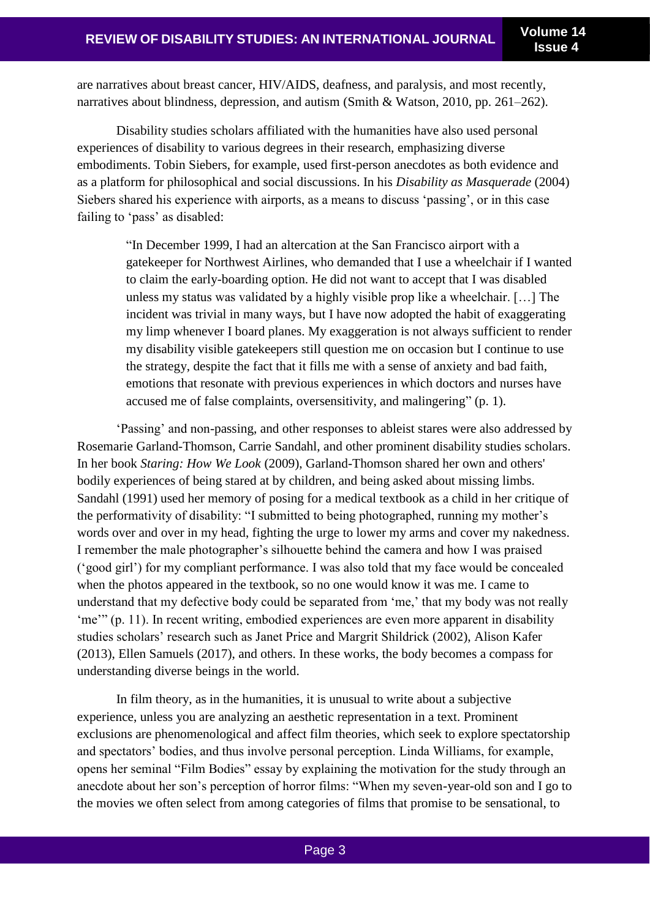are narratives about breast cancer, HIV/AIDS, deafness, and paralysis, and most recently, narratives about blindness, depression, and autism (Smith & Watson, 2010, pp. 261–262).

Disability studies scholars affiliated with the humanities have also used personal experiences of disability to various degrees in their research, emphasizing diverse embodiments. Tobin Siebers, for example, used first-person anecdotes as both evidence and as a platform for philosophical and social discussions. In his *Disability as Masquerade* (2004) Siebers shared his experience with airports, as a means to discuss 'passing', or in this case failing to 'pass' as disabled:

> "In December 1999, I had an altercation at the San Francisco airport with a gatekeeper for Northwest Airlines, who demanded that I use a wheelchair if I wanted to claim the early-boarding option. He did not want to accept that I was disabled unless my status was validated by a highly visible prop like a wheelchair. […] The incident was trivial in many ways, but I have now adopted the habit of exaggerating my limp whenever I board planes. My exaggeration is not always sufficient to render my disability visible gatekeepers still question me on occasion but I continue to use the strategy, despite the fact that it fills me with a sense of anxiety and bad faith, emotions that resonate with previous experiences in which doctors and nurses have accused me of false complaints, oversensitivity, and malingering" (p. 1).

'Passing' and non-passing, and other responses to ableist stares were also addressed by Rosemarie Garland-Thomson, Carrie Sandahl, and other prominent disability studies scholars. In her book *Staring: How We Look* (2009), Garland-Thomson shared her own and others' bodily experiences of being stared at by children, and being asked about missing limbs. Sandahl (1991) used her memory of posing for a medical textbook as a child in her critique of the performativity of disability: "I submitted to being photographed, running my mother's words over and over in my head, fighting the urge to lower my arms and cover my nakedness. I remember the male photographer's silhouette behind the camera and how I was praised ('good girl') for my compliant performance. I was also told that my face would be concealed when the photos appeared in the textbook, so no one would know it was me. I came to understand that my defective body could be separated from 'me,' that my body was not really 'me'" (p. 11). In recent writing, embodied experiences are even more apparent in disability studies scholars' research such as Janet Price and Margrit Shildrick (2002), Alison Kafer (2013), Ellen Samuels (2017), and others. In these works, the body becomes a compass for understanding diverse beings in the world.

In film theory, as in the humanities, it is unusual to write about a subjective experience, unless you are analyzing an aesthetic representation in a text. Prominent exclusions are phenomenological and affect film theories, which seek to explore spectatorship and spectators' bodies, and thus involve personal perception. Linda Williams, for example, opens her seminal "Film Bodies" essay by explaining the motivation for the study through an anecdote about her son's perception of horror films: "When my seven-year-old son and I go to the movies we often select from among categories of films that promise to be sensational, to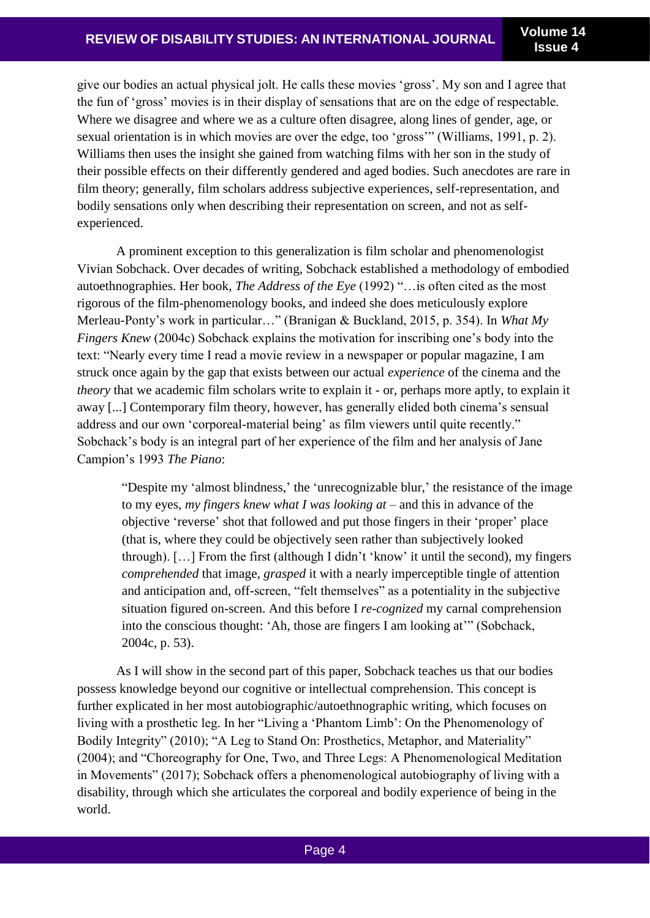give our bodies an actual physical jolt. He calls these movies 'gross'. My son and I agree that the fun of 'gross' movies is in their display of sensations that are on the edge of respectable. Where we disagree and where we as a culture often disagree, along lines of gender, age, or sexual orientation is in which movies are over the edge, too 'gross'" (Williams, 1991, p. 2). Williams then uses the insight she gained from watching films with her son in the study of their possible effects on their differently gendered and aged bodies. Such anecdotes are rare in film theory; generally, film scholars address subjective experiences, self-representation, and bodily sensations only when describing their representation on screen, and not as selfexperienced.

A prominent exception to this generalization is film scholar and phenomenologist Vivian Sobchack. Over decades of writing, Sobchack established a methodology of embodied autoethnographies. Her book, *The Address of the Eye* (1992) "…is often cited as the most rigorous of the film-phenomenology books, and indeed she does meticulously explore Merleau-Ponty's work in particular…" (Branigan & Buckland, 2015, p. 354). In *What My Fingers Knew* (2004c) Sobchack explains the motivation for inscribing one's body into the text: "Nearly every time I read a movie review in a newspaper or popular magazine, I am struck once again by the gap that exists between our actual *experience* of the cinema and the *theory* that we academic film scholars write to explain it - or, perhaps more aptly, to explain it away [...] Contemporary film theory, however, has generally elided both cinema's sensual address and our own 'corporeal-material being' as film viewers until quite recently." Sobchack's body is an integral part of her experience of the film and her analysis of Jane Campion's 1993 *The Piano*:

"Despite my 'almost blindness,' the 'unrecognizable blur,' the resistance of the image to my eyes, *my fingers knew what I was looking at* – and this in advance of the objective 'reverse' shot that followed and put those fingers in their 'proper' place (that is, where they could be objectively seen rather than subjectively looked through). […] From the first (although I didn't 'know' it until the second), my fingers *comprehended* that image, *grasped* it with a nearly imperceptible tingle of attention and anticipation and, off-screen, "felt themselves" as a potentiality in the subjective situation figured on-screen. And this before I *re-cognized* my carnal comprehension into the conscious thought: 'Ah, those are fingers I am looking at'" (Sobchack, 2004c, p. 53).

As I will show in the second part of this paper, Sobchack teaches us that our bodies possess knowledge beyond our cognitive or intellectual comprehension. This concept is further explicated in her most autobiographic/autoethnographic writing, which focuses on living with a prosthetic leg. In her "Living a 'Phantom Limb': On the Phenomenology of Bodily Integrity" (2010); "A Leg to Stand On: Prosthetics, Metaphor, and Materiality" (2004); and "Choreography for One, Two, and Three Legs: A Phenomenological Meditation in Movements" (2017); Sobchack offers a phenomenological autobiography of living with a disability, through which she articulates the corporeal and bodily experience of being in the world.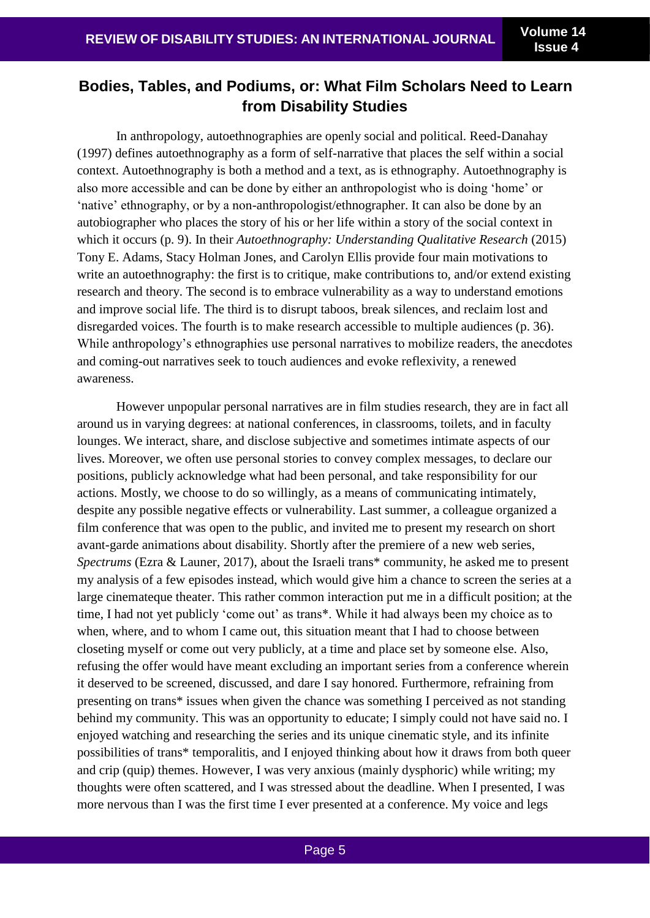# **Bodies, Tables, and Podiums, or: What Film Scholars Need to Learn from Disability Studies**

In anthropology, autoethnographies are openly social and political. Reed-Danahay (1997) defines autoethnography as a form of self-narrative that places the self within a social context. Autoethnography is both a method and a text, as is ethnography. Autoethnography is also more accessible and can be done by either an anthropologist who is doing 'home' or 'native' ethnography, or by a non-anthropologist/ethnographer. It can also be done by an autobiographer who places the story of his or her life within a story of the social context in which it occurs (p. 9). In their *Autoethnography: Understanding Qualitative Research* (2015) Tony E. Adams, Stacy Holman Jones, and Carolyn Ellis provide four main motivations to write an autoethnography: the first is to critique, make contributions to, and/or extend existing research and theory. The second is to embrace vulnerability as a way to understand emotions and improve social life. The third is to disrupt taboos, break silences, and reclaim lost and disregarded voices. The fourth is to make research accessible to multiple audiences (p. 36). While anthropology's ethnographies use personal narratives to mobilize readers, the anecdotes and coming-out narratives seek to touch audiences and evoke reflexivity, a renewed awareness.

However unpopular personal narratives are in film studies research, they are in fact all around us in varying degrees: at national conferences, in classrooms, toilets, and in faculty lounges. We interact, share, and disclose subjective and sometimes intimate aspects of our lives. Moreover, we often use personal stories to convey complex messages, to declare our positions, publicly acknowledge what had been personal, and take responsibility for our actions. Mostly, we choose to do so willingly, as a means of communicating intimately, despite any possible negative effects or vulnerability. Last summer, a colleague organized a film conference that was open to the public, and invited me to present my research on short avant-garde animations about disability. Shortly after the premiere of a new web series, *Spectrums* (Ezra & Launer, 2017), about the Israeli trans\* community, he asked me to present my analysis of a few episodes instead, which would give him a chance to screen the series at a large cinemateque theater. This rather common interaction put me in a difficult position; at the time, I had not yet publicly 'come out' as trans\*. While it had always been my choice as to when, where, and to whom I came out, this situation meant that I had to choose between closeting myself or come out very publicly, at a time and place set by someone else. Also, refusing the offer would have meant excluding an important series from a conference wherein it deserved to be screened, discussed, and dare I say honored. Furthermore, refraining from presenting on trans\* issues when given the chance was something I perceived as not standing behind my community. This was an opportunity to educate; I simply could not have said no. I enjoyed watching and researching the series and its unique cinematic style, and its infinite possibilities of trans\* temporalitis, and I enjoyed thinking about how it draws from both queer and crip (quip) themes. However, I was very anxious (mainly dysphoric) while writing; my thoughts were often scattered, and I was stressed about the deadline. When I presented, I was more nervous than I was the first time I ever presented at a conference. My voice and legs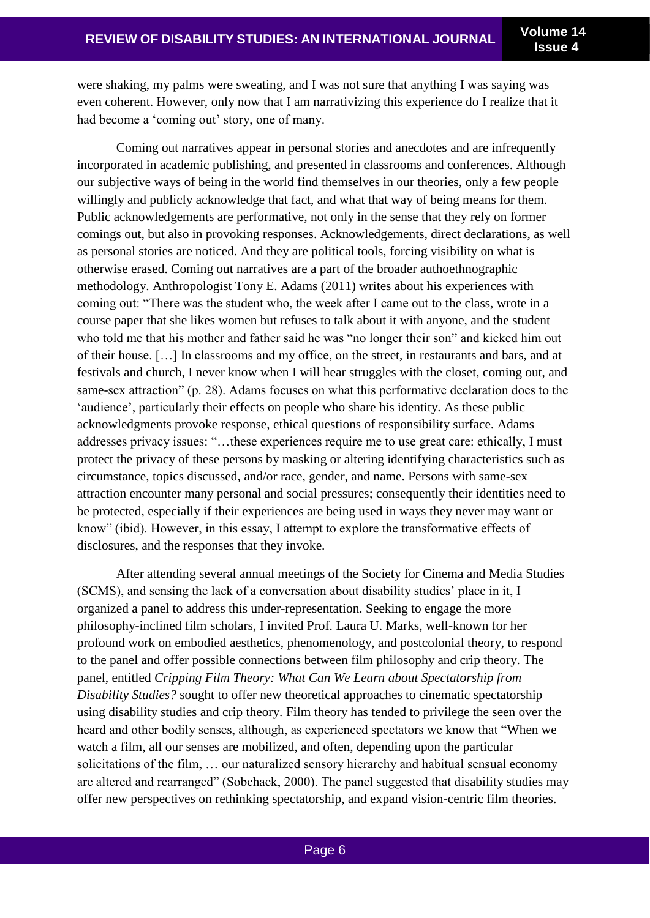were shaking, my palms were sweating, and I was not sure that anything I was saying was even coherent. However, only now that I am narrativizing this experience do I realize that it had become a 'coming out' story, one of many.

Coming out narratives appear in personal stories and anecdotes and are infrequently incorporated in academic publishing, and presented in classrooms and conferences. Although our subjective ways of being in the world find themselves in our theories, only a few people willingly and publicly acknowledge that fact, and what that way of being means for them. Public acknowledgements are performative, not only in the sense that they rely on former comings out, but also in provoking responses. Acknowledgements, direct declarations, as well as personal stories are noticed. And they are political tools, forcing visibility on what is otherwise erased. Coming out narratives are a part of the broader authoethnographic methodology. Anthropologist Tony E. Adams (2011) writes about his experiences with coming out: "There was the student who, the week after I came out to the class, wrote in a course paper that she likes women but refuses to talk about it with anyone, and the student who told me that his mother and father said he was "no longer their son" and kicked him out of their house. […] In classrooms and my office, on the street, in restaurants and bars, and at festivals and church, I never know when I will hear struggles with the closet, coming out, and same-sex attraction" (p. 28). Adams focuses on what this performative declaration does to the 'audience', particularly their effects on people who share his identity. As these public acknowledgments provoke response, ethical questions of responsibility surface. Adams addresses privacy issues: "…these experiences require me to use great care: ethically, I must protect the privacy of these persons by masking or altering identifying characteristics such as circumstance, topics discussed, and/or race, gender, and name. Persons with same-sex attraction encounter many personal and social pressures; consequently their identities need to be protected, especially if their experiences are being used in ways they never may want or know" (ibid). However, in this essay, I attempt to explore the transformative effects of disclosures, and the responses that they invoke.

After attending several annual meetings of the Society for Cinema and Media Studies (SCMS), and sensing the lack of a conversation about disability studies' place in it, I organized a panel to address this under-representation. Seeking to engage the more philosophy-inclined film scholars, I invited Prof. Laura U. Marks, well-known for her profound work on embodied aesthetics, phenomenology, and postcolonial theory, to respond to the panel and offer possible connections between film philosophy and crip theory. The panel, entitled *Cripping Film Theory: What Can We Learn about Spectatorship from Disability Studies?* sought to offer new theoretical approaches to cinematic spectatorship using disability studies and crip theory. Film theory has tended to privilege the seen over the heard and other bodily senses, although, as experienced spectators we know that "When we watch a film, all our senses are mobilized, and often, depending upon the particular solicitations of the film, … our naturalized sensory hierarchy and habitual sensual economy are altered and rearranged" (Sobchack, 2000). The panel suggested that disability studies may offer new perspectives on rethinking spectatorship, and expand vision-centric film theories.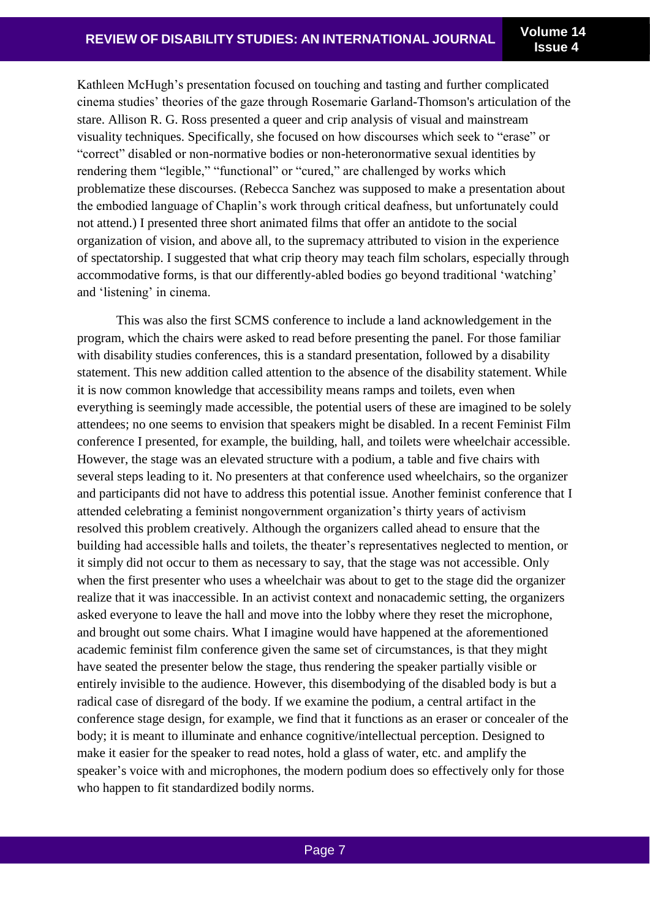**Issue 4**

Kathleen McHugh's presentation focused on touching and tasting and further complicated cinema studies' theories of the gaze through Rosemarie Garland-Thomson's articulation of the stare. Allison R. G. Ross presented a queer and crip analysis of visual and mainstream visuality techniques. Specifically, she focused on how discourses which seek to "erase" or "correct" disabled or non-normative bodies or non-heteronormative sexual identities by rendering them "legible," "functional" or "cured," are challenged by works which problematize these discourses. (Rebecca Sanchez was supposed to make a presentation about the embodied language of Chaplin's work through critical deafness, but unfortunately could not attend.) I presented three short animated films that offer an antidote to the social organization of vision, and above all, to the supremacy attributed to vision in the experience of spectatorship. I suggested that what crip theory may teach film scholars, especially through accommodative forms, is that our differently-abled bodies go beyond traditional 'watching' and 'listening' in cinema.

This was also the first SCMS conference to include a land acknowledgement in the program, which the chairs were asked to read before presenting the panel. For those familiar with disability studies conferences, this is a standard presentation, followed by a disability statement. This new addition called attention to the absence of the disability statement. While it is now common knowledge that accessibility means ramps and toilets, even when everything is seemingly made accessible, the potential users of these are imagined to be solely attendees; no one seems to envision that speakers might be disabled. In a recent Feminist Film conference I presented, for example, the building, hall, and toilets were wheelchair accessible. However, the stage was an elevated structure with a podium, a table and five chairs with several steps leading to it. No presenters at that conference used wheelchairs, so the organizer and participants did not have to address this potential issue. Another feminist conference that I attended celebrating a feminist nongovernment organization's thirty years of activism resolved this problem creatively. Although the organizers called ahead to ensure that the building had accessible halls and toilets, the theater's representatives neglected to mention, or it simply did not occur to them as necessary to say, that the stage was not accessible. Only when the first presenter who uses a wheelchair was about to get to the stage did the organizer realize that it was inaccessible. In an activist context and nonacademic setting, the organizers asked everyone to leave the hall and move into the lobby where they reset the microphone, and brought out some chairs. What I imagine would have happened at the aforementioned academic feminist film conference given the same set of circumstances, is that they might have seated the presenter below the stage, thus rendering the speaker partially visible or entirely invisible to the audience. However, this disembodying of the disabled body is but a radical case of disregard of the body. If we examine the podium, a central artifact in the conference stage design, for example, we find that it functions as an eraser or concealer of the body; it is meant to illuminate and enhance cognitive/intellectual perception. Designed to make it easier for the speaker to read notes, hold a glass of water, etc. and amplify the speaker's voice with and microphones, the modern podium does so effectively only for those who happen to fit standardized bodily norms.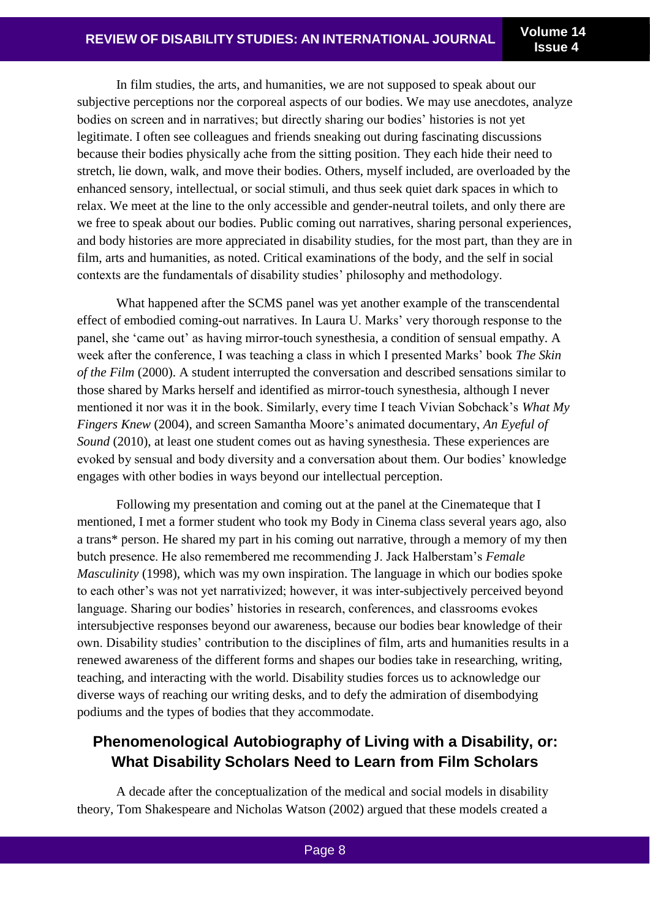In film studies, the arts, and humanities, we are not supposed to speak about our subjective perceptions nor the corporeal aspects of our bodies. We may use anecdotes, analyze bodies on screen and in narratives; but directly sharing our bodies' histories is not yet legitimate. I often see colleagues and friends sneaking out during fascinating discussions because their bodies physically ache from the sitting position. They each hide their need to stretch, lie down, walk, and move their bodies. Others, myself included, are overloaded by the enhanced sensory, intellectual, or social stimuli, and thus seek quiet dark spaces in which to relax. We meet at the line to the only accessible and gender-neutral toilets, and only there are we free to speak about our bodies. Public coming out narratives, sharing personal experiences, and body histories are more appreciated in disability studies, for the most part, than they are in film, arts and humanities, as noted. Critical examinations of the body, and the self in social contexts are the fundamentals of disability studies' philosophy and methodology.

What happened after the SCMS panel was yet another example of the transcendental effect of embodied coming-out narratives. In Laura U. Marks' very thorough response to the panel, she 'came out' as having mirror-touch synesthesia, a condition of sensual empathy. A week after the conference, I was teaching a class in which I presented Marks' book *The Skin of the Film* (2000). A student interrupted the conversation and described sensations similar to those shared by Marks herself and identified as mirror-touch synesthesia, although I never mentioned it nor was it in the book. Similarly, every time I teach Vivian Sobchack's *What My Fingers Knew* (2004), and screen Samantha Moore's animated documentary, *An Eyeful of Sound* (2010), at least one student comes out as having synesthesia. These experiences are evoked by sensual and body diversity and a conversation about them. Our bodies' knowledge engages with other bodies in ways beyond our intellectual perception.

Following my presentation and coming out at the panel at the Cinemateque that I mentioned, I met a former student who took my Body in Cinema class several years ago, also a trans\* person. He shared my part in his coming out narrative, through a memory of my then butch presence. He also remembered me recommending J. Jack Halberstam's *Female Masculinity* (1998), which was my own inspiration. The language in which our bodies spoke to each other's was not yet narrativized; however, it was inter-subjectively perceived beyond language. Sharing our bodies' histories in research, conferences, and classrooms evokes intersubjective responses beyond our awareness, because our bodies bear knowledge of their own. Disability studies' contribution to the disciplines of film, arts and humanities results in a renewed awareness of the different forms and shapes our bodies take in researching, writing, teaching, and interacting with the world. Disability studies forces us to acknowledge our diverse ways of reaching our writing desks, and to defy the admiration of disembodying podiums and the types of bodies that they accommodate.

## **Phenomenological Autobiography of Living with a Disability, or: What Disability Scholars Need to Learn from Film Scholars**

A decade after the conceptualization of the medical and social models in disability theory, Tom Shakespeare and Nicholas Watson (2002) argued that these models created a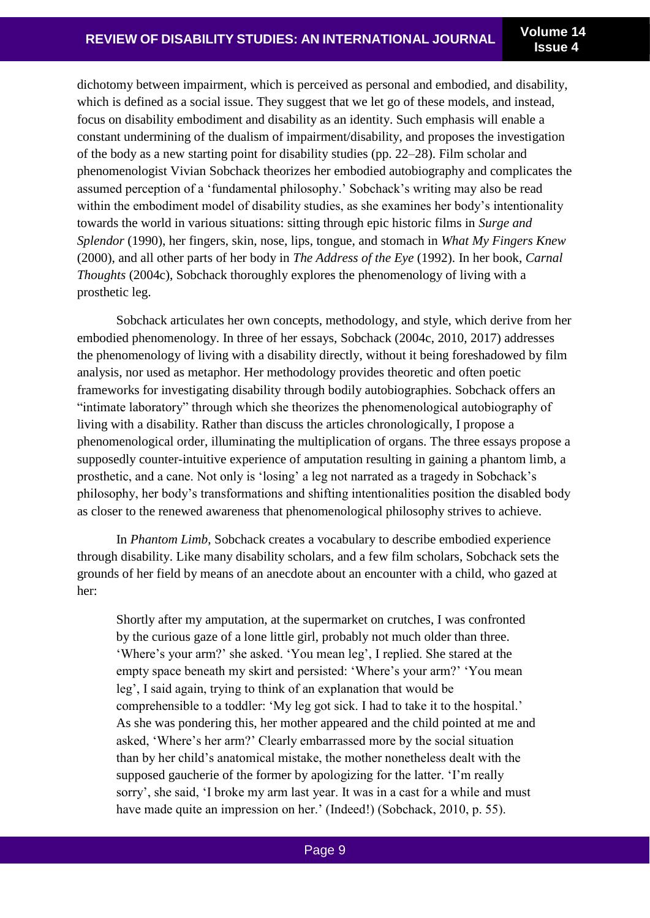dichotomy between impairment, which is perceived as personal and embodied, and disability, which is defined as a social issue. They suggest that we let go of these models, and instead, focus on disability embodiment and disability as an identity. Such emphasis will enable a constant undermining of the dualism of impairment/disability, and proposes the investigation of the body as a new starting point for disability studies (pp. 22–28). Film scholar and phenomenologist Vivian Sobchack theorizes her embodied autobiography and complicates the assumed perception of a 'fundamental philosophy.' Sobchack's writing may also be read within the embodiment model of disability studies, as she examines her body's intentionality towards the world in various situations: sitting through epic historic films in *Surge and Splendor* (1990), her fingers, skin, nose, lips, tongue, and stomach in *What My Fingers Knew* (2000), and all other parts of her body in *The Address of the Eye* (1992). In her book, *Carnal Thoughts* (2004c), Sobchack thoroughly explores the phenomenology of living with a prosthetic leg.

Sobchack articulates her own concepts, methodology, and style, which derive from her embodied phenomenology. In three of her essays, Sobchack (2004c, 2010, 2017) addresses the phenomenology of living with a disability directly, without it being foreshadowed by film analysis, nor used as metaphor. Her methodology provides theoretic and often poetic frameworks for investigating disability through bodily autobiographies. Sobchack offers an "intimate laboratory" through which she theorizes the phenomenological autobiography of living with a disability. Rather than discuss the articles chronologically, I propose a phenomenological order, illuminating the multiplication of organs. The three essays propose a supposedly counter-intuitive experience of amputation resulting in gaining a phantom limb, a prosthetic, and a cane. Not only is 'losing' a leg not narrated as a tragedy in Sobchack's philosophy, her body's transformations and shifting intentionalities position the disabled body as closer to the renewed awareness that phenomenological philosophy strives to achieve.

In *Phantom Limb*, Sobchack creates a vocabulary to describe embodied experience through disability. Like many disability scholars, and a few film scholars, Sobchack sets the grounds of her field by means of an anecdote about an encounter with a child, who gazed at her:

Shortly after my amputation, at the supermarket on crutches, I was confronted by the curious gaze of a lone little girl, probably not much older than three. 'Where's your arm?' she asked. 'You mean leg', I replied. She stared at the empty space beneath my skirt and persisted: 'Where's your arm?' 'You mean leg', I said again, trying to think of an explanation that would be comprehensible to a toddler: 'My leg got sick. I had to take it to the hospital.' As she was pondering this, her mother appeared and the child pointed at me and asked, 'Where's her arm?' Clearly embarrassed more by the social situation than by her child's anatomical mistake, the mother nonetheless dealt with the supposed gaucherie of the former by apologizing for the latter. 'I'm really sorry', she said, 'I broke my arm last year. It was in a cast for a while and must have made quite an impression on her.' (Indeed!) (Sobchack, 2010, p. 55).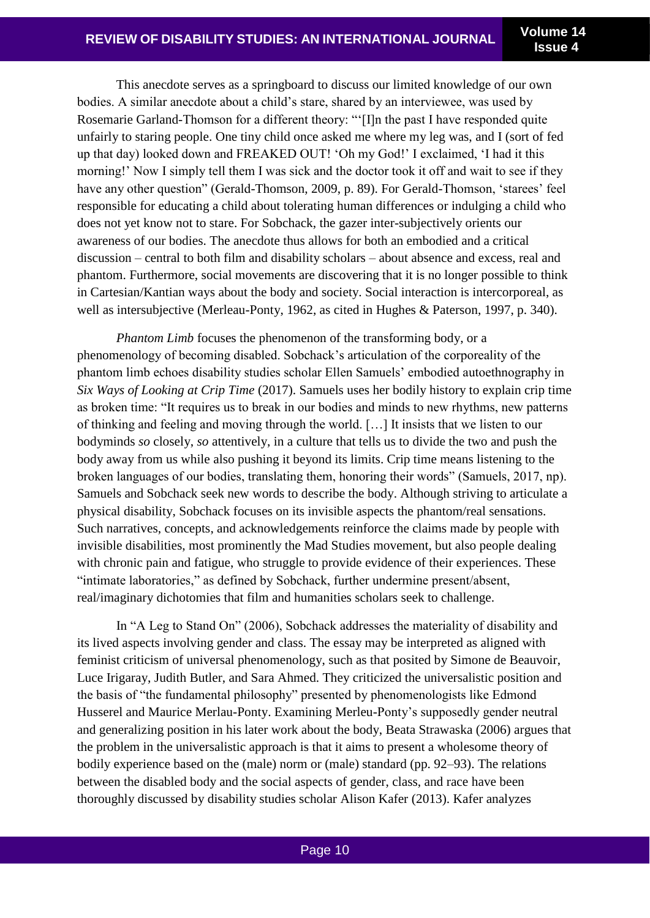This anecdote serves as a springboard to discuss our limited knowledge of our own bodies. A similar anecdote about a child's stare, shared by an interviewee, was used by Rosemarie Garland-Thomson for a different theory: "'[I]n the past I have responded quite unfairly to staring people. One tiny child once asked me where my leg was, and I (sort of fed up that day) looked down and FREAKED OUT! 'Oh my God!' I exclaimed, 'I had it this morning!' Now I simply tell them I was sick and the doctor took it off and wait to see if they have any other question" (Gerald-Thomson, 2009, p. 89). For Gerald-Thomson, 'starees' feel responsible for educating a child about tolerating human differences or indulging a child who does not yet know not to stare. For Sobchack, the gazer inter-subjectively orients our awareness of our bodies. The anecdote thus allows for both an embodied and a critical discussion – central to both film and disability scholars – about absence and excess, real and phantom. Furthermore, social movements are discovering that it is no longer possible to think in Cartesian/Kantian ways about the body and society. Social interaction is intercorporeal, as well as intersubjective (Merleau-Ponty, 1962, as cited in Hughes & Paterson, 1997, p. 340).

*Phantom Limb* focuses the phenomenon of the transforming body, or a phenomenology of becoming disabled. Sobchack's articulation of the corporeality of the phantom limb echoes disability studies scholar Ellen Samuels' embodied autoethnography in *Six Ways of Looking at Crip Time* (2017). Samuels uses her bodily history to explain crip time as broken time: "It requires us to break in our bodies and minds to new rhythms, new patterns of thinking and feeling and moving through the world. […] It insists that we listen to our bodyminds *so* closely, *so* attentively, in a culture that tells us to divide the two and push the body away from us while also pushing it beyond its limits. Crip time means listening to the broken languages of our bodies, translating them, honoring their words" (Samuels, 2017, np). Samuels and Sobchack seek new words to describe the body. Although striving to articulate a physical disability, Sobchack focuses on its invisible aspects the phantom/real sensations. Such narratives, concepts, and acknowledgements reinforce the claims made by people with invisible disabilities, most prominently the Mad Studies movement, but also people dealing with chronic pain and fatigue, who struggle to provide evidence of their experiences. These "intimate laboratories," as defined by Sobchack, further undermine present/absent, real/imaginary dichotomies that film and humanities scholars seek to challenge.

In "A Leg to Stand On" (2006), Sobchack addresses the materiality of disability and its lived aspects involving gender and class. The essay may be interpreted as aligned with feminist criticism of universal phenomenology, such as that posited by Simone de Beauvoir, Luce Irigaray, Judith Butler, and Sara Ahmed. They criticized the universalistic position and the basis of "the fundamental philosophy" presented by phenomenologists like Edmond Husserel and Maurice Merlau-Ponty. Examining Merleu-Ponty's supposedly gender neutral and generalizing position in his later work about the body, Beata Strawaska (2006) argues that the problem in the universalistic approach is that it aims to present a wholesome theory of bodily experience based on the (male) norm or (male) standard (pp. 92–93). The relations between the disabled body and the social aspects of gender, class, and race have been thoroughly discussed by disability studies scholar Alison Kafer (2013). Kafer analyzes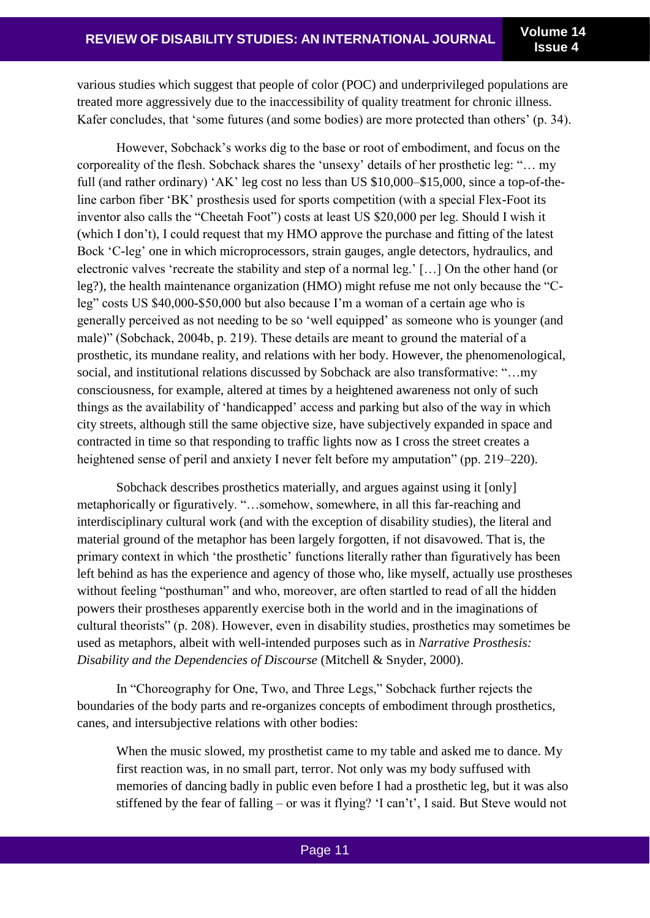various studies which suggest that people of color (POC) and underprivileged populations are treated more aggressively due to the inaccessibility of quality treatment for chronic illness. Kafer concludes, that 'some futures (and some bodies) are more protected than others' (p. 34).

However, Sobchack's works dig to the base or root of embodiment, and focus on the corporeality of the flesh. Sobchack shares the 'unsexy' details of her prosthetic leg: "… my full (and rather ordinary) 'AK' leg cost no less than US \$10,000–\$15,000, since a top-of-theline carbon fiber 'BK' prosthesis used for sports competition (with a special Flex-Foot its inventor also calls the "Cheetah Foot") costs at least US \$20,000 per leg. Should I wish it (which I don't), I could request that my HMO approve the purchase and fitting of the latest Bock 'C-leg' one in which microprocessors, strain gauges, angle detectors, hydraulics, and electronic valves 'recreate the stability and step of a normal leg.' […] On the other hand (or leg?), the health maintenance organization (HMO) might refuse me not only because the "Cleg" costs US \$40,000-\$50,000 but also because I'm a woman of a certain age who is generally perceived as not needing to be so 'well equipped' as someone who is younger (and male)" (Sobchack, 2004b, p. 219). These details are meant to ground the material of a prosthetic, its mundane reality, and relations with her body. However, the phenomenological, social, and institutional relations discussed by Sobchack are also transformative: "…my consciousness, for example, altered at times by a heightened awareness not only of such things as the availability of 'handicapped' access and parking but also of the way in which city streets, although still the same objective size, have subjectively expanded in space and contracted in time so that responding to traffic lights now as I cross the street creates a heightened sense of peril and anxiety I never felt before my amputation" (pp. 219–220).

Sobchack describes prosthetics materially, and argues against using it [only] metaphorically or figuratively. "…somehow, somewhere, in all this far-reaching and interdisciplinary cultural work (and with the exception of disability studies), the literal and material ground of the metaphor has been largely forgotten, if not disavowed. That is, the primary context in which 'the prosthetic' functions literally rather than figuratively has been left behind as has the experience and agency of those who, like myself, actually use prostheses without feeling "posthuman" and who, moreover, are often startled to read of all the hidden powers their prostheses apparently exercise both in the world and in the imaginations of cultural theorists" (p. 208). However, even in disability studies, prosthetics may sometimes be used as metaphors, albeit with well-intended purposes such as in *Narrative Prosthesis: Disability and the Dependencies of Discourse* (Mitchell & Snyder, 2000).

In "Choreography for One, Two, and Three Legs," Sobchack further rejects the boundaries of the body parts and re-organizes concepts of embodiment through prosthetics, canes, and intersubjective relations with other bodies:

When the music slowed, my prosthetist came to my table and asked me to dance. My first reaction was, in no small part, terror. Not only was my body suffused with memories of dancing badly in public even before I had a prosthetic leg, but it was also stiffened by the fear of falling – or was it flying? 'I can't', I said. But Steve would not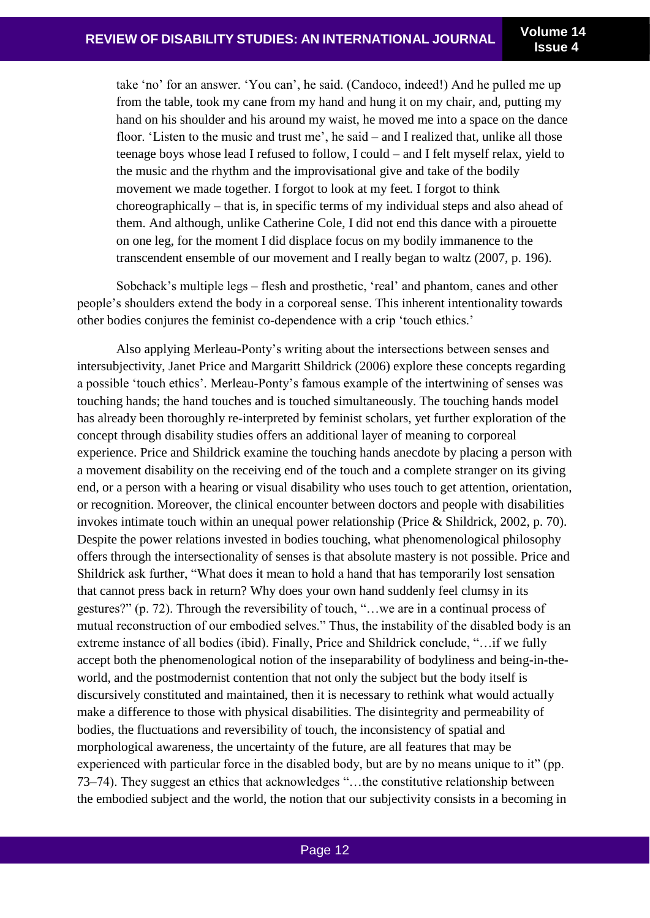take 'no' for an answer. 'You can', he said. (Candoco, indeed!) And he pulled me up from the table, took my cane from my hand and hung it on my chair, and, putting my hand on his shoulder and his around my waist, he moved me into a space on the dance floor. 'Listen to the music and trust me', he said – and I realized that, unlike all those teenage boys whose lead I refused to follow, I could – and I felt myself relax, yield to the music and the rhythm and the improvisational give and take of the bodily movement we made together. I forgot to look at my feet. I forgot to think choreographically – that is, in specific terms of my individual steps and also ahead of them. And although, unlike Catherine Cole, I did not end this dance with a pirouette on one leg, for the moment I did displace focus on my bodily immanence to the transcendent ensemble of our movement and I really began to waltz (2007, p. 196).

Sobchack's multiple legs – flesh and prosthetic, 'real' and phantom, canes and other people's shoulders extend the body in a corporeal sense. This inherent intentionality towards other bodies conjures the feminist co-dependence with a crip 'touch ethics.'

Also applying Merleau-Ponty's writing about the intersections between senses and intersubjectivity, Janet Price and Margaritt Shildrick (2006) explore these concepts regarding a possible 'touch ethics'. Merleau-Ponty's famous example of the intertwining of senses was touching hands; the hand touches and is touched simultaneously. The touching hands model has already been thoroughly re-interpreted by feminist scholars, yet further exploration of the concept through disability studies offers an additional layer of meaning to corporeal experience. Price and Shildrick examine the touching hands anecdote by placing a person with a movement disability on the receiving end of the touch and a complete stranger on its giving end, or a person with a hearing or visual disability who uses touch to get attention, orientation, or recognition. Moreover, the clinical encounter between doctors and people with disabilities invokes intimate touch within an unequal power relationship (Price & Shildrick, 2002, p. 70). Despite the power relations invested in bodies touching, what phenomenological philosophy offers through the intersectionality of senses is that absolute mastery is not possible. Price and Shildrick ask further, "What does it mean to hold a hand that has temporarily lost sensation that cannot press back in return? Why does your own hand suddenly feel clumsy in its gestures?" (p. 72). Through the reversibility of touch, "…we are in a continual process of mutual reconstruction of our embodied selves." Thus, the instability of the disabled body is an extreme instance of all bodies (ibid). Finally, Price and Shildrick conclude, "…if we fully accept both the phenomenological notion of the inseparability of bodyliness and being-in-theworld, and the postmodernist contention that not only the subject but the body itself is discursively constituted and maintained, then it is necessary to rethink what would actually make a difference to those with physical disabilities. The disintegrity and permeability of bodies, the fluctuations and reversibility of touch, the inconsistency of spatial and morphological awareness, the uncertainty of the future, are all features that may be experienced with particular force in the disabled body, but are by no means unique to it" (pp. 73–74). They suggest an ethics that acknowledges "…the constitutive relationship between the embodied subject and the world, the notion that our subjectivity consists in a becoming in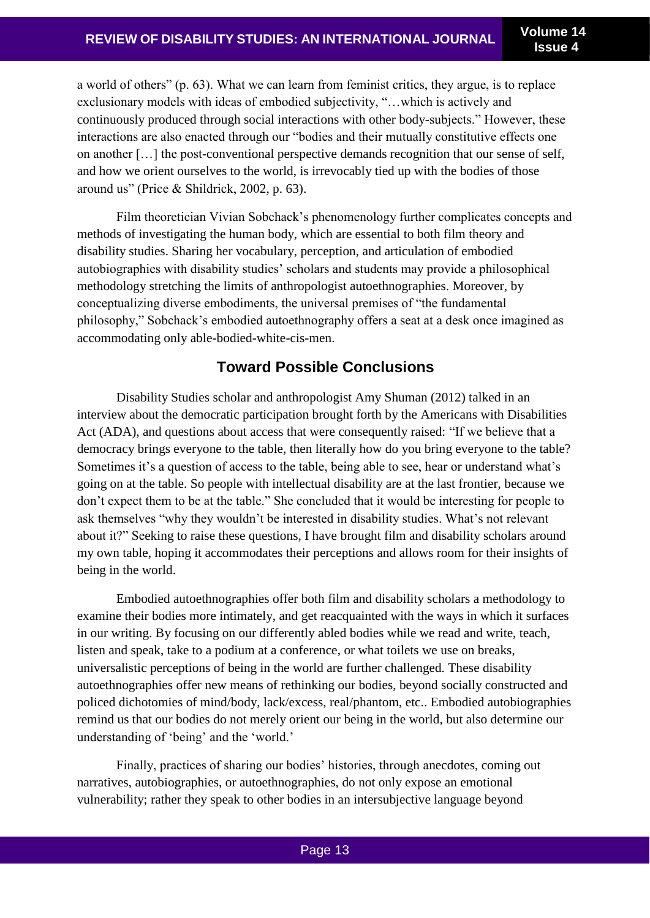a world of others" (p. 63). What we can learn from feminist critics, they argue, is to replace exclusionary models with ideas of embodied subjectivity, "…which is actively and continuously produced through social interactions with other body-subjects." However, these interactions are also enacted through our "bodies and their mutually constitutive effects one on another […] the post-conventional perspective demands recognition that our sense of self, and how we orient ourselves to the world, is irrevocably tied up with the bodies of those around us" (Price & Shildrick, 2002, p. 63).

Film theoretician Vivian Sobchack's phenomenology further complicates concepts and methods of investigating the human body, which are essential to both film theory and disability studies. Sharing her vocabulary, perception, and articulation of embodied autobiographies with disability studies' scholars and students may provide a philosophical methodology stretching the limits of anthropologist autoethnographies. Moreover, by conceptualizing diverse embodiments, the universal premises of "the fundamental philosophy," Sobchack's embodied autoethnography offers a seat at a desk once imagined as accommodating only able-bodied-white-cis-men.

#### **Toward Possible Conclusions**

Disability Studies scholar and anthropologist Amy Shuman (2012) talked in an interview about the democratic participation brought forth by the Americans with Disabilities Act (ADA), and questions about access that were consequently raised: "If we believe that a democracy brings everyone to the table, then literally how do you bring everyone to the table? Sometimes it's a question of access to the table, being able to see, hear or understand what's going on at the table. So people with intellectual disability are at the last frontier, because we don't expect them to be at the table." She concluded that it would be interesting for people to ask themselves "why they wouldn't be interested in disability studies. What's not relevant about it?" Seeking to raise these questions, I have brought film and disability scholars around my own table, hoping it accommodates their perceptions and allows room for their insights of being in the world.

Embodied autoethnographies offer both film and disability scholars a methodology to examine their bodies more intimately, and get reacquainted with the ways in which it surfaces in our writing. By focusing on our differently abled bodies while we read and write, teach, listen and speak, take to a podium at a conference, or what toilets we use on breaks, universalistic perceptions of being in the world are further challenged. These disability autoethnographies offer new means of rethinking our bodies, beyond socially constructed and policed dichotomies of mind/body, lack/excess, real/phantom, etc.. Embodied autobiographies remind us that our bodies do not merely orient our being in the world, but also determine our understanding of 'being' and the 'world.'

Finally, practices of sharing our bodies' histories, through anecdotes, coming out narratives, autobiographies, or autoethnographies, do not only expose an emotional vulnerability; rather they speak to other bodies in an intersubjective language beyond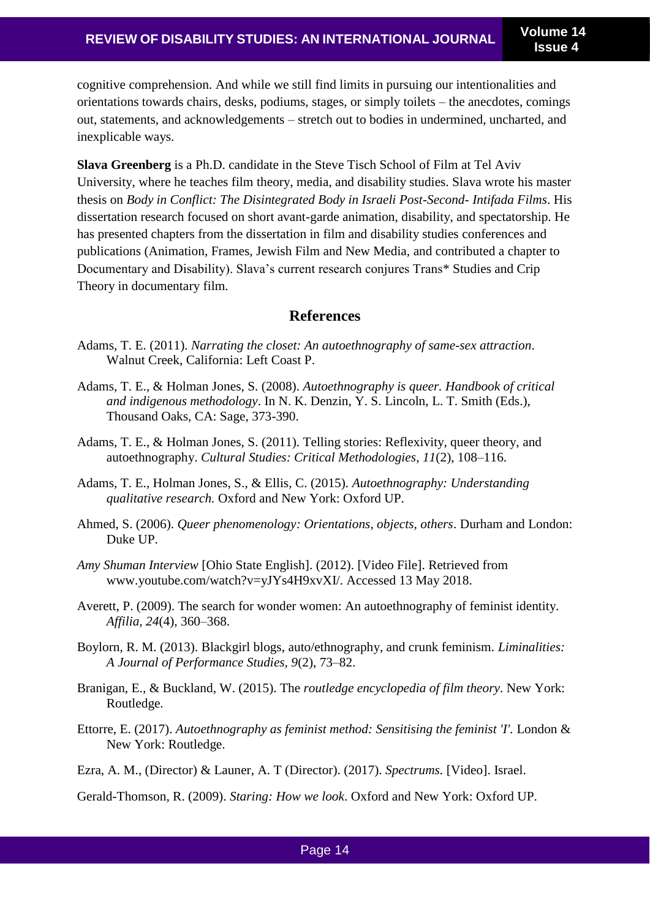cognitive comprehension. And while we still find limits in pursuing our intentionalities and orientations towards chairs, desks, podiums, stages, or simply toilets – the anecdotes, comings out, statements, and acknowledgements – stretch out to bodies in undermined, uncharted, and inexplicable ways.

**Slava Greenberg** is a Ph.D. candidate in the Steve Tisch School of Film at Tel Aviv University, where he teaches film theory, media, and disability studies. Slava wrote his master thesis on *Body in Conflict: The Disintegrated Body in Israeli Post-Second- Intifada Films*. His dissertation research focused on short avant-garde animation, disability, and spectatorship. He has presented chapters from the dissertation in film and disability studies conferences and publications (Animation, Frames, Jewish Film and New Media, and contributed a chapter to Documentary and Disability). Slava's current research conjures Trans\* Studies and Crip Theory in documentary film.

#### **References**

- Adams, T. E. (2011). *Narrating the closet: An autoethnography of same-sex attraction*. Walnut Creek, California: Left Coast P.
- Adams, T. E., & Holman Jones, S. (2008). *Autoethnography is queer. Handbook of critical and indigenous methodology*. In N. K. Denzin, Y. S. Lincoln, L. T. Smith (Eds.), Thousand Oaks, CA: Sage, 373-390.
- Adams, T. E., & Holman Jones, S. (2011). Telling stories: Reflexivity, queer theory, and autoethnography. *Cultural Studies: Critical Methodologies*, *11*(2), 108–116.
- Adams, T. E., Holman Jones, S., & Ellis, C. (2015). *Autoethnography: Understanding qualitative research.* Oxford and New York: Oxford UP.
- Ahmed, S. (2006). *Queer phenomenology: Orientations, objects, others*. Durham and London: Duke UP.
- *Amy Shuman Interview* [Ohio State English]. (2012). [Video File]. Retrieved from www.youtube.com/watch?v=yJYs4H9xvXI/. Accessed 13 May 2018.
- Averett, P. (2009). The search for wonder women: An autoethnography of feminist identity. *Affilia, 24*(4), 360–368.
- Boylorn, R. M. (2013). Blackgirl blogs, auto/ethnography, and crunk feminism. *Liminalities: A Journal of Performance Studies, 9*(2), 73–82.
- Branigan, E., & Buckland, W. (2015). The *routledge encyclopedia of film theory*. New York: Routledge.
- Ettorre, E. (2017). *Autoethnography as feminist method: Sensitising the feminist 'I'.* London & New York: Routledge.
- Ezra, A. M., (Director) & Launer, A. T (Director). (2017). *Spectrums.* [Video]. Israel.

Gerald-Thomson, R. (2009). *Staring: How we look*. Oxford and New York: Oxford UP.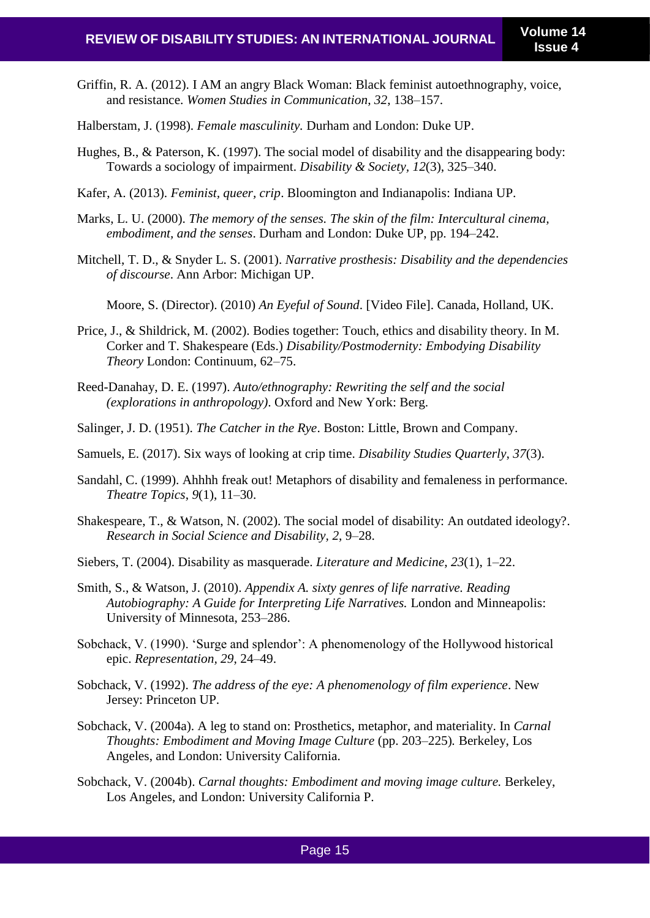Griffin, R. A. (2012). I AM an angry Black Woman: Black feminist autoethnography, voice, and resistance. *Women Studies in Communication*, *32*, 138–157.

Halberstam, J. (1998). *Female masculinity.* Durham and London: Duke UP.

- Hughes, B., & Paterson, K. (1997). The social model of disability and the disappearing body: Towards a sociology of impairment. *Disability & Society, 12*(3), 325–340.
- Kafer, A. (2013). *Feminist, queer, crip*. Bloomington and Indianapolis: Indiana UP.
- Marks, L. U. (2000). *The memory of the senses. The skin of the film: Intercultural cinema, embodiment, and the senses*. Durham and London: Duke UP, pp. 194–242.
- Mitchell, T. D., & Snyder L. S. (2001). *Narrative prosthesis: Disability and the dependencies of discourse*. Ann Arbor: Michigan UP.

Moore, S. (Director). (2010) *An Eyeful of Sound*. [Video File]. Canada, Holland, UK.

- Price, J., & Shildrick, M. (2002). Bodies together: Touch, ethics and disability theory. In M. Corker and T. Shakespeare (Eds.) *Disability/Postmodernity: Embodying Disability Theory* London: Continuum, 62–75.
- Reed-Danahay, D. E. (1997). *Auto/ethnography: Rewriting the self and the social (explorations in anthropology)*. Oxford and New York: Berg.
- Salinger, J. D. (1951). *The Catcher in the Rye*. Boston: Little, Brown and Company.
- Samuels, E. (2017). Six ways of looking at crip time. *Disability Studies Quarterly*, *37*(3).
- Sandahl, C. (1999). Ahhhh freak out! Metaphors of disability and femaleness in performance. *Theatre Topics*, *9*(1), 11–30.
- Shakespeare, T., & Watson, N. (2002). The social model of disability: An outdated ideology?. *Research in Social Science and Disability, 2*, 9–28.
- Siebers, T. (2004). Disability as masquerade. *Literature and Medicine*, *23*(1), 1–22.
- Smith, S., & Watson, J. (2010). *Appendix A. sixty genres of life narrative. Reading Autobiography: A Guide for Interpreting Life Narratives.* London and Minneapolis: University of Minnesota, 253–286.
- Sobchack, V. (1990). 'Surge and splendor': A phenomenology of the Hollywood historical epic. *Representation, 29*, 24–49.
- Sobchack, V. (1992). *The address of the eye: A phenomenology of film experience*. New Jersey: Princeton UP.
- Sobchack, V. (2004a). A leg to stand on: Prosthetics, metaphor, and materiality. In *Carnal Thoughts: Embodiment and Moving Image Culture* (pp. 203–225). Berkeley, Los Angeles, and London: University California.
- Sobchack, V. (2004b). *Carnal thoughts: Embodiment and moving image culture.* Berkeley, Los Angeles, and London: University California P.